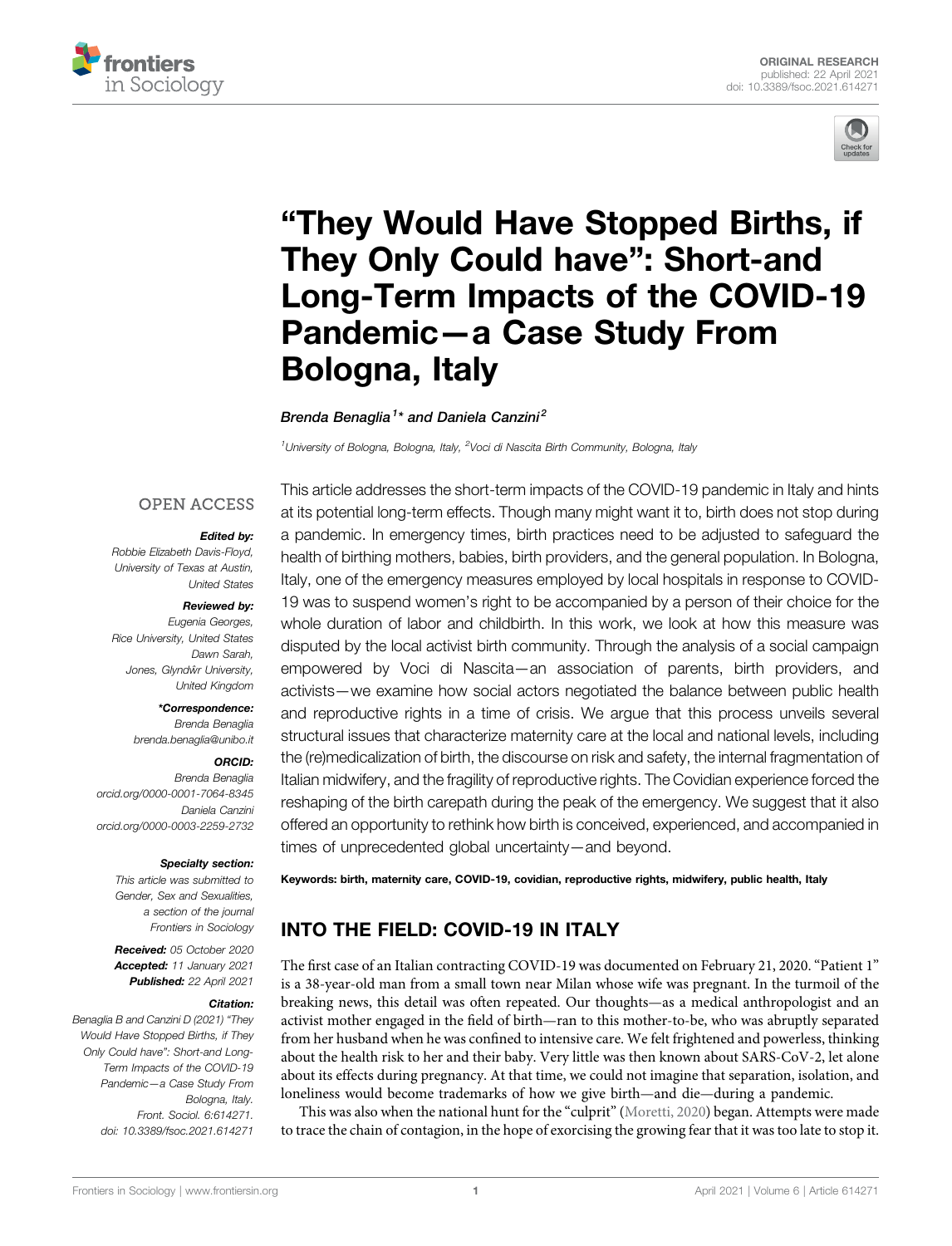



# "[They Would Have Stopped Births, if](https://www.frontiersin.org/articles/10.3389/fsoc.2021.614271/full) [They Only Could have](https://www.frontiersin.org/articles/10.3389/fsoc.2021.614271/full)": Short-and [Long-Term Impacts of the COVID-19](https://www.frontiersin.org/articles/10.3389/fsoc.2021.614271/full) [Pandemic](https://www.frontiersin.org/articles/10.3389/fsoc.2021.614271/full)—[a Case Study From](https://www.frontiersin.org/articles/10.3389/fsoc.2021.614271/full) [Bologna, Italy](https://www.frontiersin.org/articles/10.3389/fsoc.2021.614271/full)

Brenda Benaglia<sup>1</sup>\* and Daniela Canzini<sup>2</sup>

<sup>1</sup>University of Bologna, Bologna, Italy, <sup>2</sup>Voci di Nascita Birth Community, Bologna, Italy

# **OPEN ACCESS**

#### Edited by:

Robbie Elizabeth Davis-Floyd, University of Texas at Austin, United States

#### Reviewed by:

Eugenia Georges, Rice University, United States Dawn Sarah, Jones, Glyndŵr University, United Kingdom

#### \*Correspondence:

Brenda Benaglia [brenda.benaglia@unibo.it](mailto:brenda.benaglia@unibo.it)

#### ORCID:

Brenda Benaglia [orcid.org/0000-0001-7064-8345](<http://orcid.org/0000-0001-7064-8345>) Daniela Canzini [orcid.org/0000-0003-2259-2732](<http://orcid.org/0000-0003-2259-2732>)

#### Specialty section:

This article was submitted to Gender, Sex and Sexualities, a section of the journal Frontiers in Sociology

Received: 05 October 2020 Accepted: 11 January 2021 Published: 22 April 2021

#### Citation:

Benaglia B and Canzini D (2021) "They Would Have Stopped Births, if They Only Could have": Short-and Long-Term Impacts of the COVID-19 Pandemic—a Case Study From Bologna, Italy. Front. Sociol. 6:614271. doi: [10.3389/fsoc.2021.614271](https://doi.org/10.3389/fsoc.2021.614271)

This article addresses the short-term impacts of the COVID-19 pandemic in Italy and hints at its potential long-term effects. Though many might want it to, birth does not stop during a pandemic. In emergency times, birth practices need to be adjusted to safeguard the health of birthing mothers, babies, birth providers, and the general population. In Bologna, Italy, one of the emergency measures employed by local hospitals in response to COVID-19 was to suspend women's right to be accompanied by a person of their choice for the whole duration of labor and childbirth. In this work, we look at how this measure was disputed by the local activist birth community. Through the analysis of a social campaign empowered by Voci di Nascita—an association of parents, birth providers, and activists—we examine how social actors negotiated the balance between public health and reproductive rights in a time of crisis. We argue that this process unveils several structural issues that characterize maternity care at the local and national levels, including the (re)medicalization of birth, the discourse on risk and safety, the internal fragmentation of Italian midwifery, and the fragility of reproductive rights. The Covidian experience forced the reshaping of the birth carepath during the peak of the emergency. We suggest that it also offered an opportunity to rethink how birth is conceived, experienced, and accompanied in times of unprecedented global uncertainty—and beyond.

Keywords: birth, maternity care, COVID-19, covidian, reproductive rights, midwifery, public health, Italy

# INTO THE FIELD: COVID-19 IN ITALY

The first case of an Italian contracting COVID-19 was documented on February 21, 2020."Patient 1" is a 38-year-old man from a small town near Milan whose wife was pregnant. In the turmoil of the breaking news, this detail was often repeated. Our thoughts—as a medical anthropologist and an activist mother engaged in the field of birth—ran to this mother-to-be, who was abruptly separated from her husband when he was confined to intensive care. We felt frightened and powerless, thinking about the health risk to her and their baby. Very little was then known about SARS-CoV-2, let alone about its effects during pregnancy. At that time, we could not imagine that separation, isolation, and loneliness would become trademarks of how we give birth—and die—during a pandemic.

This was also when the national hunt for the "culprit" ([Moretti, 2020](#page-8-0)) began. Attempts were made to trace the chain of contagion, in the hope of exorcising the growing fear that it was too late to stop it.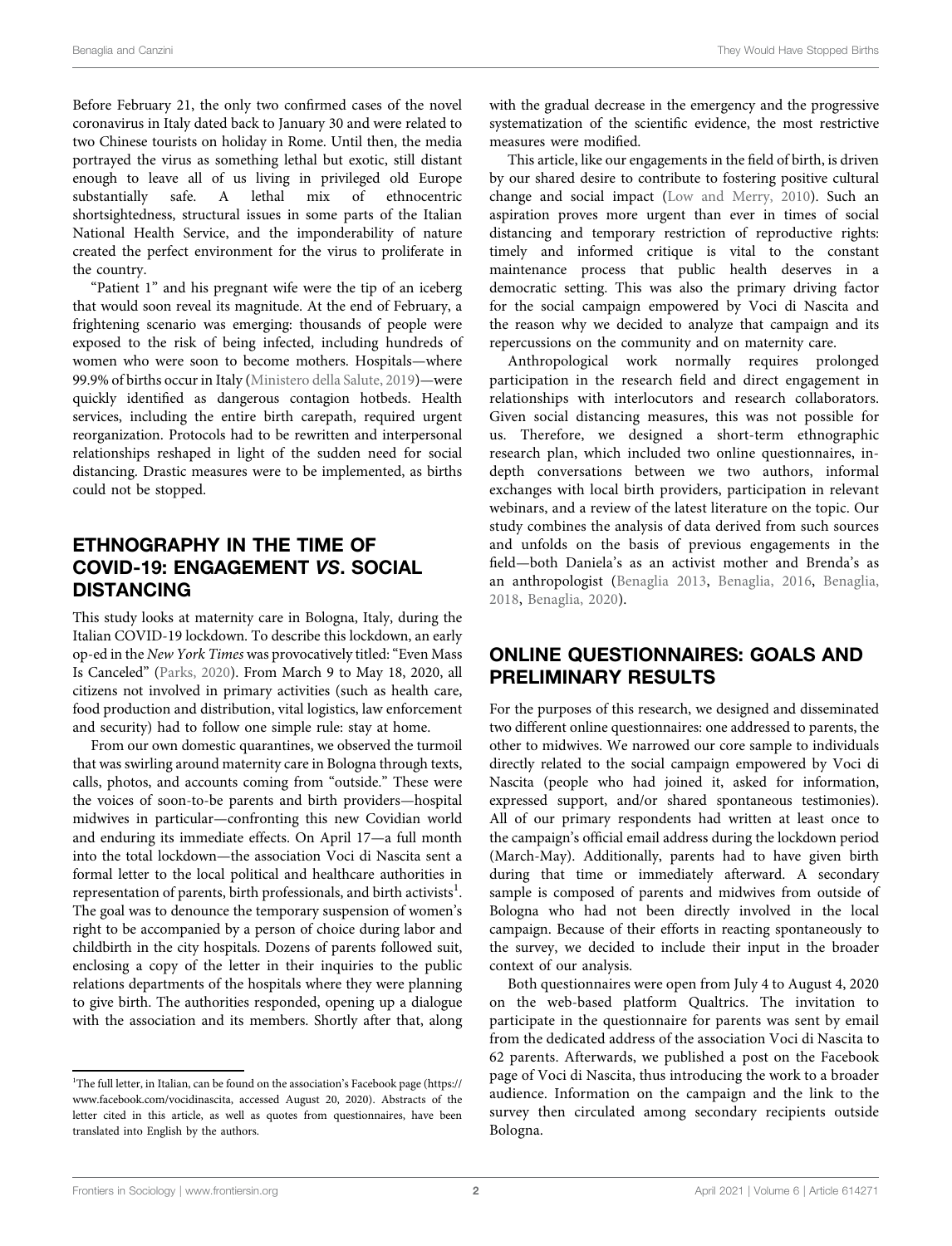Before February 21, the only two confirmed cases of the novel coronavirus in Italy dated back to January 30 and were related to two Chinese tourists on holiday in Rome. Until then, the media portrayed the virus as something lethal but exotic, still distant enough to leave all of us living in privileged old Europe substantially safe. A lethal mix of ethnocentric shortsightedness, structural issues in some parts of the Italian National Health Service, and the imponderability of nature created the perfect environment for the virus to proliferate in the country.

"Patient 1" and his pregnant wife were the tip of an iceberg that would soon reveal its magnitude. At the end of February, a frightening scenario was emerging: thousands of people were exposed to the risk of being infected, including hundreds of women who were soon to become mothers. Hospitals—where 99.9% of births occur in Italy ([Ministero della Salute, 2019](#page-7-0))—were quickly identified as dangerous contagion hotbeds. Health services, including the entire birth carepath, required urgent reorganization. Protocols had to be rewritten and interpersonal relationships reshaped in light of the sudden need for social distancing. Drastic measures were to be implemented, as births could not be stopped.

# ETHNOGRAPHY IN THE TIME OF COVID-19: ENGAGEMENT VS. SOCIAL DISTANCING

This study looks at maternity care in Bologna, Italy, during the Italian COVID-19 lockdown. To describe this lockdown, an early op-ed in the New York Times was provocatively titled:"Even Mass Is Canceled" ([Parks, 2020](#page-8-1)). From March 9 to May 18, 2020, all citizens not involved in primary activities (such as health care, food production and distribution, vital logistics, law enforcement and security) had to follow one simple rule: stay at home.

From our own domestic quarantines, we observed the turmoil that was swirling around maternity care in Bologna through texts, calls, photos, and accounts coming from "outside." These were the voices of soon-to-be parents and birth providers—hospital midwives in particular—confronting this new Covidian world and enduring its immediate effects. On April 17—a full month into the total lockdown—the association Voci di Nascita sent a formal letter to the local political and healthcare authorities in representation of parents, birth professionals, and birth activists<sup>1</sup>. The goal was to denounce the temporary suspension of women's right to be accompanied by a person of choice during labor and childbirth in the city hospitals. Dozens of parents followed suit, enclosing a copy of the letter in their inquiries to the public relations departments of the hospitals where they were planning to give birth. The authorities responded, opening up a dialogue with the association and its members. Shortly after that, along with the gradual decrease in the emergency and the progressive systematization of the scientific evidence, the most restrictive measures were modified.

This article, like our engagements in the field of birth, is driven by our shared desire to contribute to fostering positive cultural change and social impact [\(Low and Merry, 2010\)](#page-8-2). Such an aspiration proves more urgent than ever in times of social distancing and temporary restriction of reproductive rights: timely and informed critique is vital to the constant maintenance process that public health deserves in a democratic setting. This was also the primary driving factor for the social campaign empowered by Voci di Nascita and the reason why we decided to analyze that campaign and its repercussions on the community and on maternity care.

Anthropological work normally requires prolonged participation in the research field and direct engagement in relationships with interlocutors and research collaborators. Given social distancing measures, this was not possible for us. Therefore, we designed a short-term ethnographic research plan, which included two online questionnaires, indepth conversations between we two authors, informal exchanges with local birth providers, participation in relevant webinars, and a review of the latest literature on the topic. Our study combines the analysis of data derived from such sources and unfolds on the basis of previous engagements in the field—both Daniela's as an activist mother and Brenda's as an anthropologist ([Benaglia 2013](#page-7-1), [Benaglia, 2016,](#page-7-2) [Benaglia,](#page-7-3) [2018,](#page-7-3) [Benaglia, 2020\)](#page-7-4).

# ONLINE QUESTIONNAIRES: GOALS AND PRELIMINARY RESULTS

For the purposes of this research, we designed and disseminated two different online questionnaires: one addressed to parents, the other to midwives. We narrowed our core sample to individuals directly related to the social campaign empowered by Voci di Nascita (people who had joined it, asked for information, expressed support, and/or shared spontaneous testimonies). All of our primary respondents had written at least once to the campaign's official email address during the lockdown period (March-May). Additionally, parents had to have given birth during that time or immediately afterward. A secondary sample is composed of parents and midwives from outside of Bologna who had not been directly involved in the local campaign. Because of their efforts in reacting spontaneously to the survey, we decided to include their input in the broader context of our analysis.

Both questionnaires were open from July 4 to August 4, 2020 on the web-based platform Qualtrics. The invitation to participate in the questionnaire for parents was sent by email from the dedicated address of the association Voci di Nascita to 62 parents. Afterwards, we published a post on the Facebook page of Voci di Nascita, thus introducing the work to a broader audience. Information on the campaign and the link to the survey then circulated among secondary recipients outside Bologna.

<sup>&</sup>lt;sup>1</sup>The full letter, in Italian, can be found on the association's Facebook page ([https://](https://www.facebook.com/vocidinascita) [www.facebook.com/vocidinascita](https://www.facebook.com/vocidinascita), accessed August 20, 2020). Abstracts of the letter cited in this article, as well as quotes from questionnaires, have been translated into English by the authors.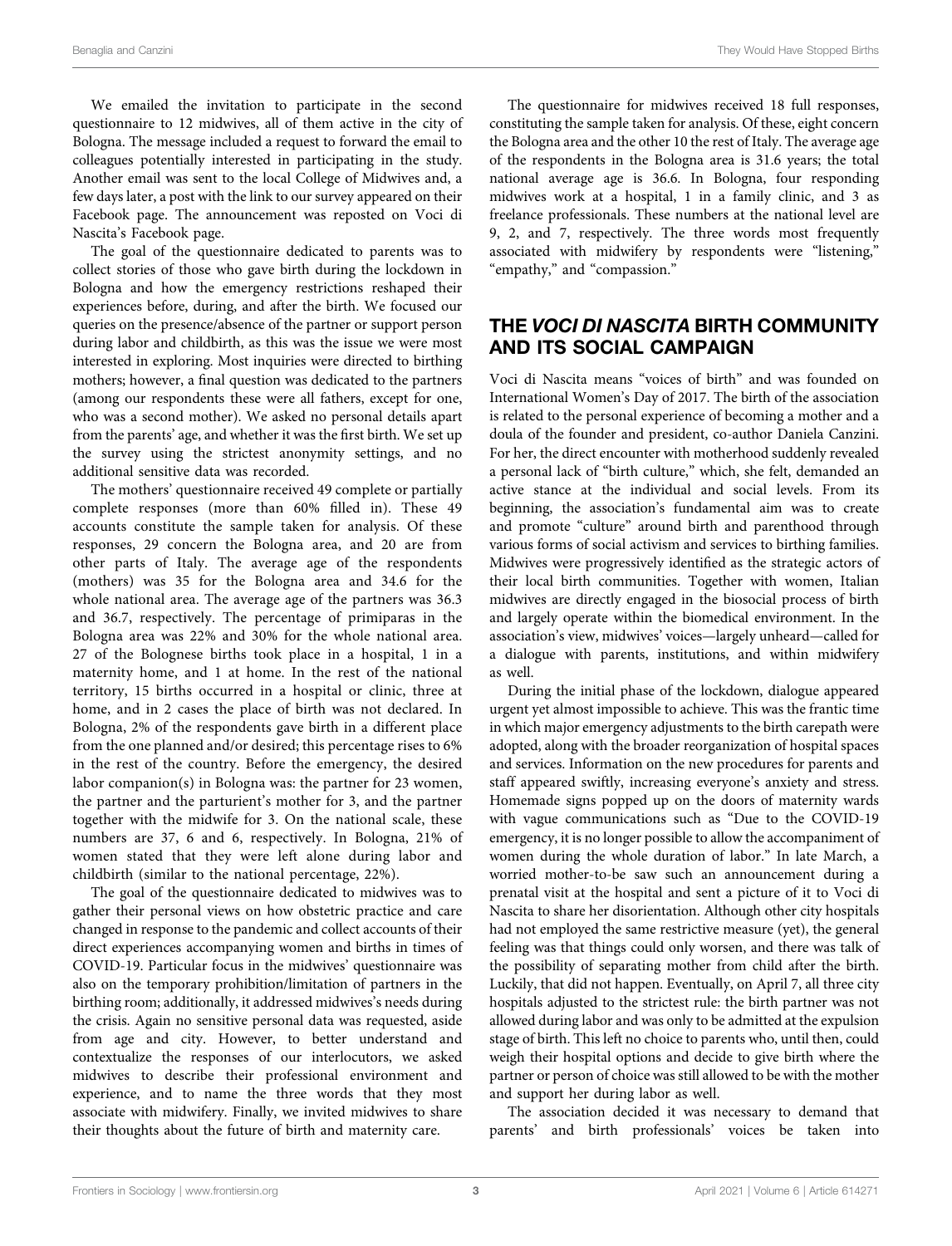We emailed the invitation to participate in the second questionnaire to 12 midwives, all of them active in the city of Bologna. The message included a request to forward the email to colleagues potentially interested in participating in the study. Another email was sent to the local College of Midwives and, a few days later, a post with the link to our survey appeared on their Facebook page. The announcement was reposted on Voci di Nascita's Facebook page.

The goal of the questionnaire dedicated to parents was to collect stories of those who gave birth during the lockdown in Bologna and how the emergency restrictions reshaped their experiences before, during, and after the birth. We focused our queries on the presence/absence of the partner or support person during labor and childbirth, as this was the issue we were most interested in exploring. Most inquiries were directed to birthing mothers; however, a final question was dedicated to the partners (among our respondents these were all fathers, except for one, who was a second mother). We asked no personal details apart from the parents' age, and whether it was the first birth. We set up the survey using the strictest anonymity settings, and no additional sensitive data was recorded.

The mothers' questionnaire received 49 complete or partially complete responses (more than 60% filled in). These 49 accounts constitute the sample taken for analysis. Of these responses, 29 concern the Bologna area, and 20 are from other parts of Italy. The average age of the respondents (mothers) was 35 for the Bologna area and 34.6 for the whole national area. The average age of the partners was 36.3 and 36.7, respectively. The percentage of primiparas in the Bologna area was 22% and 30% for the whole national area. 27 of the Bolognese births took place in a hospital, 1 in a maternity home, and 1 at home. In the rest of the national territory, 15 births occurred in a hospital or clinic, three at home, and in 2 cases the place of birth was not declared. In Bologna, 2% of the respondents gave birth in a different place from the one planned and/or desired; this percentage rises to 6% in the rest of the country. Before the emergency, the desired labor companion(s) in Bologna was: the partner for 23 women, the partner and the parturient's mother for 3, and the partner together with the midwife for 3. On the national scale, these numbers are 37, 6 and 6, respectively. In Bologna, 21% of women stated that they were left alone during labor and childbirth (similar to the national percentage, 22%).

The goal of the questionnaire dedicated to midwives was to gather their personal views on how obstetric practice and care changed in response to the pandemic and collect accounts of their direct experiences accompanying women and births in times of COVID-19. Particular focus in the midwives' questionnaire was also on the temporary prohibition/limitation of partners in the birthing room; additionally, it addressed midwives's needs during the crisis. Again no sensitive personal data was requested, aside from age and city. However, to better understand and contextualize the responses of our interlocutors, we asked midwives to describe their professional environment and experience, and to name the three words that they most associate with midwifery. Finally, we invited midwives to share their thoughts about the future of birth and maternity care.

The questionnaire for midwives received 18 full responses, constituting the sample taken for analysis. Of these, eight concern the Bologna area and the other 10 the rest of Italy. The average age of the respondents in the Bologna area is 31.6 years; the total national average age is 36.6. In Bologna, four responding midwives work at a hospital, 1 in a family clinic, and 3 as freelance professionals. These numbers at the national level are 9, 2, and 7, respectively. The three words most frequently associated with midwifery by respondents were "listening," "empathy," and "compassion."

# THE VOCI DI NASCITA BIRTH COMMUNITY AND ITS SOCIAL CAMPAIGN

Voci di Nascita means "voices of birth" and was founded on International Women's Day of 2017. The birth of the association is related to the personal experience of becoming a mother and a doula of the founder and president, co-author Daniela Canzini. For her, the direct encounter with motherhood suddenly revealed a personal lack of "birth culture," which, she felt, demanded an active stance at the individual and social levels. From its beginning, the association's fundamental aim was to create and promote "culture" around birth and parenthood through various forms of social activism and services to birthing families. Midwives were progressively identified as the strategic actors of their local birth communities. Together with women, Italian midwives are directly engaged in the biosocial process of birth and largely operate within the biomedical environment. In the association's view, midwives' voices—largely unheard—called for a dialogue with parents, institutions, and within midwifery as well.

During the initial phase of the lockdown, dialogue appeared urgent yet almost impossible to achieve. This was the frantic time in which major emergency adjustments to the birth carepath were adopted, along with the broader reorganization of hospital spaces and services. Information on the new procedures for parents and staff appeared swiftly, increasing everyone's anxiety and stress. Homemade signs popped up on the doors of maternity wards with vague communications such as "Due to the COVID-19 emergency, it is no longer possible to allow the accompaniment of women during the whole duration of labor." In late March, a worried mother-to-be saw such an announcement during a prenatal visit at the hospital and sent a picture of it to Voci di Nascita to share her disorientation. Although other city hospitals had not employed the same restrictive measure (yet), the general feeling was that things could only worsen, and there was talk of the possibility of separating mother from child after the birth. Luckily, that did not happen. Eventually, on April 7, all three city hospitals adjusted to the strictest rule: the birth partner was not allowed during labor and was only to be admitted at the expulsion stage of birth. This left no choice to parents who, until then, could weigh their hospital options and decide to give birth where the partner or person of choice was still allowed to be with the mother and support her during labor as well.

The association decided it was necessary to demand that parents' and birth professionals' voices be taken into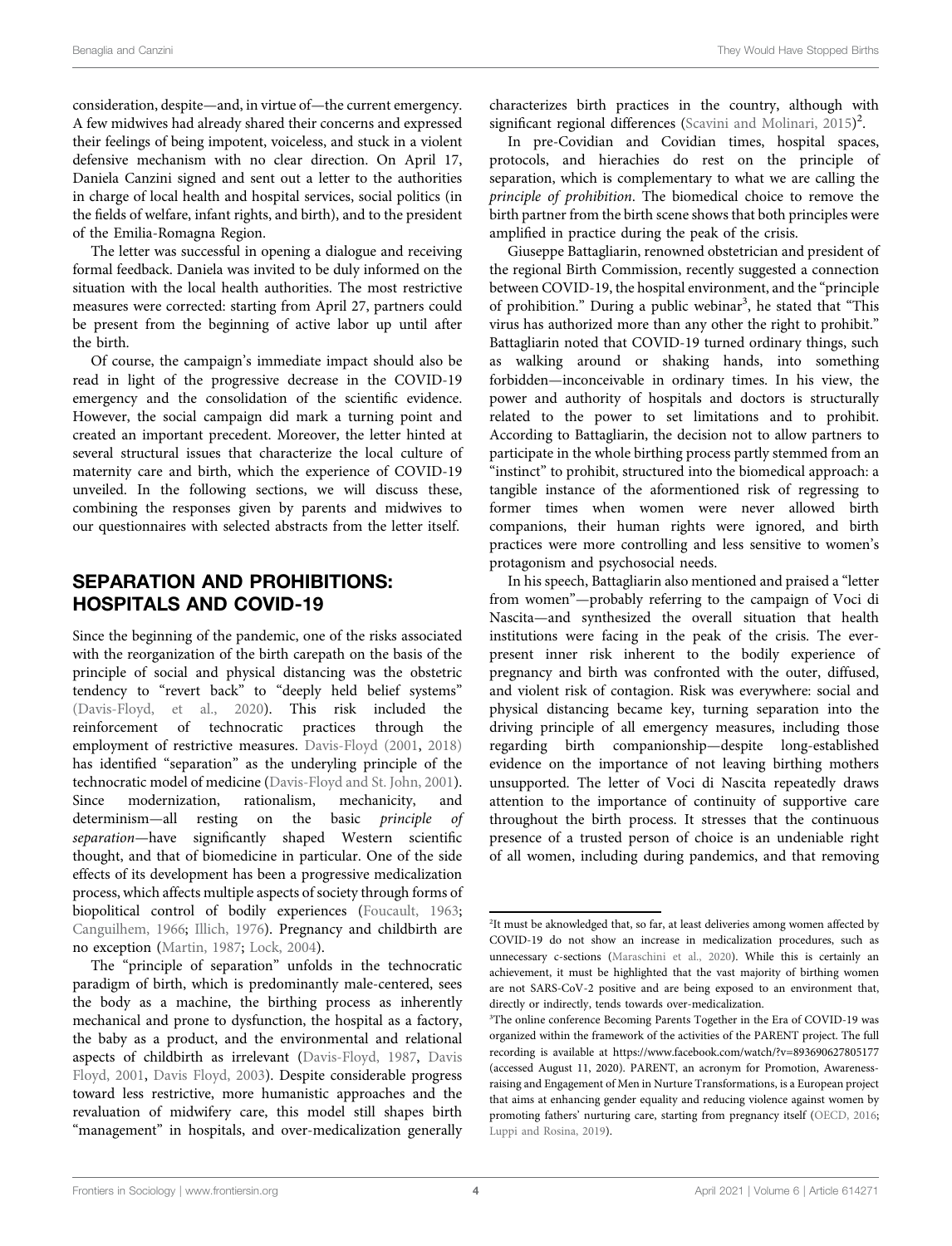consideration, despite—and, in virtue of—the current emergency. A few midwives had already shared their concerns and expressed their feelings of being impotent, voiceless, and stuck in a violent defensive mechanism with no clear direction. On April 17, Daniela Canzini signed and sent out a letter to the authorities in charge of local health and hospital services, social politics (in the fields of welfare, infant rights, and birth), and to the president of the Emilia-Romagna Region.

The letter was successful in opening a dialogue and receiving formal feedback. Daniela was invited to be duly informed on the situation with the local health authorities. The most restrictive measures were corrected: starting from April 27, partners could be present from the beginning of active labor up until after the birth.

Of course, the campaign's immediate impact should also be read in light of the progressive decrease in the COVID-19 emergency and the consolidation of the scientific evidence. However, the social campaign did mark a turning point and created an important precedent. Moreover, the letter hinted at several structural issues that characterize the local culture of maternity care and birth, which the experience of COVID-19 unveiled. In the following sections, we will discuss these, combining the responses given by parents and midwives to our questionnaires with selected abstracts from the letter itself.

# SEPARATION AND PROHIBITIONS: HOSPITALS AND COVID-19

Since the beginning of the pandemic, one of the risks associated with the reorganization of the birth carepath on the basis of the principle of social and physical distancing was the obstetric tendency to "revert back" to "deeply held belief systems" [\(Davis-Floyd, et al., 2020\)](#page-7-5). This risk included the reinforcement of technocratic practices through the employment of restrictive measures. [Davis-Floyd \(2001,](#page-7-6) [2018\)](#page-7-7) has identified "separation" as the underyling principle of the technocratic model of medicine [\(Davis-Floyd and St. John, 2001\)](#page-7-8). Since modernization, rationalism, mechanicity, and determinism—all resting on the basic principle of separation—have significantly shaped Western scientific thought, and that of biomedicine in particular. One of the side effects of its development has been a progressive medicalization process, which affects multiple aspects of society through forms of biopolitical control of bodily experiences [\(Foucault, 1963](#page-7-9); [Canguilhem, 1966;](#page-7-10) [Illich, 1976](#page-7-11)). Pregnancy and childbirth are no exception [\(Martin, 1987;](#page-8-3) [Lock, 2004\)](#page-8-4).

The "principle of separation" unfolds in the technocratic paradigm of birth, which is predominantly male-centered, sees the body as a machine, the birthing process as inherently mechanical and prone to dysfunction, the hospital as a factory, the baby as a product, and the environmental and relational aspects of childbirth as irrelevant [\(Davis-Floyd, 1987,](#page-7-12) [Davis](#page-7-6) [Floyd, 2001](#page-7-6), [Davis Floyd, 2003\)](#page-7-13). Despite considerable progress toward less restrictive, more humanistic approaches and the revaluation of midwifery care, this model still shapes birth "management" in hospitals, and over-medicalization generally characterizes birth practices in the country, although with significant regional differences [\(Scavini and Molinari, 2015\)](#page-8-5)<sup>2</sup>.

In pre-Covidian and Covidian times, hospital spaces, protocols, and hierachies do rest on the principle of separation, which is complementary to what we are calling the principle of prohibition. The biomedical choice to remove the birth partner from the birth scene shows that both principles were amplified in practice during the peak of the crisis.

Giuseppe Battagliarin, renowned obstetrician and president of the regional Birth Commission, recently suggested a connection between COVID-19, the hospital environment, and the "principle of prohibition." During a public webinar<sup>3</sup>, he stated that "This virus has authorized more than any other the right to prohibit." Battagliarin noted that COVID-19 turned ordinary things, such as walking around or shaking hands, into something forbidden—inconceivable in ordinary times. In his view, the power and authority of hospitals and doctors is structurally related to the power to set limitations and to prohibit. According to Battagliarin, the decision not to allow partners to participate in the whole birthing process partly stemmed from an "instinct" to prohibit, structured into the biomedical approach: a tangible instance of the aformentioned risk of regressing to former times when women were never allowed birth companions, their human rights were ignored, and birth practices were more controlling and less sensitive to women's protagonism and psychosocial needs.

In his speech, Battagliarin also mentioned and praised a "letter from women"—probably referring to the campaign of Voci di Nascita—and synthesized the overall situation that health institutions were facing in the peak of the crisis. The everpresent inner risk inherent to the bodily experience of pregnancy and birth was confronted with the outer, diffused, and violent risk of contagion. Risk was everywhere: social and physical distancing became key, turning separation into the driving principle of all emergency measures, including those regarding birth companionship—despite long-established evidence on the importance of not leaving birthing mothers unsupported. The letter of Voci di Nascita repeatedly draws attention to the importance of continuity of supportive care throughout the birth process. It stresses that the continuous presence of a trusted person of choice is an undeniable right of all women, including during pandemics, and that removing

<sup>&</sup>lt;sup>2</sup>It must be aknowledged that, so far, at least deliveries among women affected by COVID-19 do not show an increase in medicalization procedures, such as unnecessary c-sections ([Maraschini et al., 2020\)](#page-8-6). While this is certainly an achievement, it must be highlighted that the vast majority of birthing women are not SARS-CoV-2 positive and are being exposed to an environment that, directly or indirectly, tends towards over-medicalization.

<sup>&</sup>lt;sup>3</sup>The online conference Becoming Parents Together in the Era of COVID-19 was organized within the framework of the activities of the PARENT project. The full recording is available at [https://www.facebook.com/watch/?v](https://www.facebook.com/watch/?v=893690627805177)=[893690627805177](https://www.facebook.com/watch/?v=893690627805177) (accessed August 11, 2020). PARENT, an acronym for Promotion, Awarenessraising and Engagement of Men in Nurture Transformations, is a European project that aims at enhancing gender equality and reducing violence against women by promoting fathers' nurturing care, starting from pregnancy itself [\(OECD, 2016](#page-8-7); [Luppi and Rosina, 2019\)](#page-8-8).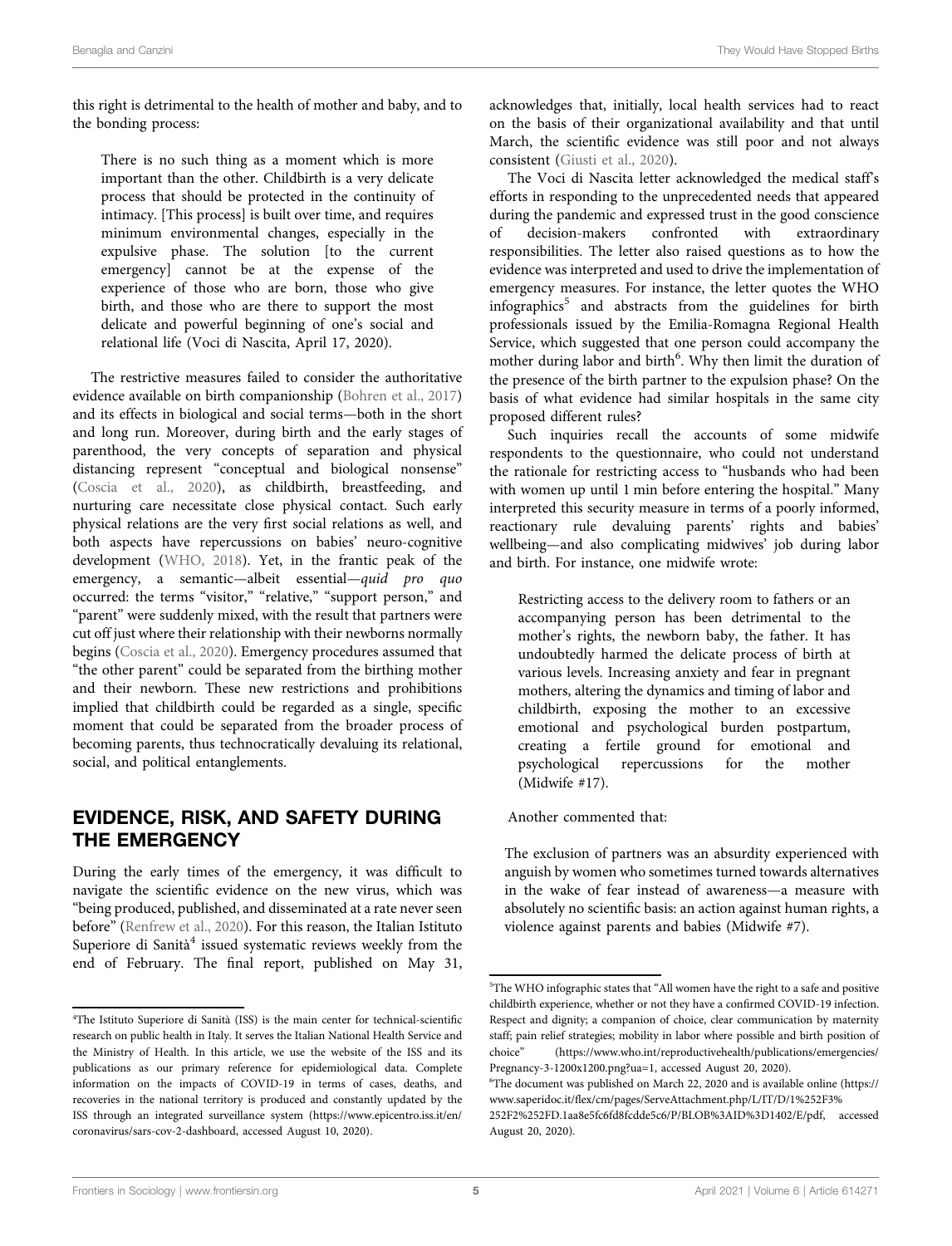this right is detrimental to the health of mother and baby, and to the bonding process:

There is no such thing as a moment which is more important than the other. Childbirth is a very delicate process that should be protected in the continuity of intimacy. [This process] is built over time, and requires minimum environmental changes, especially in the expulsive phase. The solution [to the current emergency] cannot be at the expense of the experience of those who are born, those who give birth, and those who are there to support the most delicate and powerful beginning of one's social and relational life (Voci di Nascita, April 17, 2020).

The restrictive measures failed to consider the authoritative evidence available on birth companionship [\(Bohren et al., 2017\)](#page-7-14) and its effects in biological and social terms—both in the short and long run. Moreover, during birth and the early stages of parenthood, the very concepts of separation and physical distancing represent "conceptual and biological nonsense" ([Coscia et al., 2020](#page-7-15)), as childbirth, breastfeeding, and nurturing care necessitate close physical contact. Such early physical relations are the very first social relations as well, and both aspects have repercussions on babies' neuro-cognitive development ([WHO, 2018](#page-8-9)). Yet, in the frantic peak of the emergency, a semantic—albeit essential—quid pro quo occurred: the terms "visitor," "relative," "support person," and "parent" were suddenly mixed, with the result that partners were cut off just where their relationship with their newborns normally begins [\(Coscia et al., 2020\)](#page-7-15). Emergency procedures assumed that "the other parent" could be separated from the birthing mother and their newborn. These new restrictions and prohibitions implied that childbirth could be regarded as a single, specific moment that could be separated from the broader process of becoming parents, thus technocratically devaluing its relational, social, and political entanglements.

# EVIDENCE, RISK, AND SAFETY DURING THE EMERGENCY

During the early times of the emergency, it was difficult to navigate the scientific evidence on the new virus, which was "being produced, published, and disseminated at a rate never seen before" [\(Renfrew et al., 2020](#page-8-10)). For this reason, the Italian Istituto Superiore di Sanità $4$  issued systematic reviews weekly from the end of February. The final report, published on May 31, acknowledges that, initially, local health services had to react on the basis of their organizational availability and that until March, the scientific evidence was still poor and not always consistent [\(Giusti et al., 2020](#page-7-16)).

The Voci di Nascita letter acknowledged the medical staff's efforts in responding to the unprecedented needs that appeared during the pandemic and expressed trust in the good conscience<br>of decision-makers confronted with extraordinary of decision-makers confronted with extraordinary responsibilities. The letter also raised questions as to how the evidence was interpreted and used to drive the implementation of emergency measures. For instance, the letter quotes the WHO infographics<sup>5</sup> and abstracts from the guidelines for birth professionals issued by the Emilia-Romagna Regional Health Service, which suggested that one person could accompany the mother during labor and birth<sup>6</sup>. Why then limit the duration of the presence of the birth partner to the expulsion phase? On the basis of what evidence had similar hospitals in the same city proposed different rules?

Such inquiries recall the accounts of some midwife respondents to the questionnaire, who could not understand the rationale for restricting access to "husbands who had been with women up until 1 min before entering the hospital." Many interpreted this security measure in terms of a poorly informed, reactionary rule devaluing parents' rights and babies' wellbeing—and also complicating midwives' job during labor and birth. For instance, one midwife wrote:

Restricting access to the delivery room to fathers or an accompanying person has been detrimental to the mother's rights, the newborn baby, the father. It has undoubtedly harmed the delicate process of birth at various levels. Increasing anxiety and fear in pregnant mothers, altering the dynamics and timing of labor and childbirth, exposing the mother to an excessive emotional and psychological burden postpartum, creating a fertile ground for emotional and psychological repercussions for the (Midwife #17).

Another commented that:

The exclusion of partners was an absurdity experienced with anguish by women who sometimes turned towards alternatives in the wake of fear instead of awareness—a measure with absolutely no scientific basis: an action against human rights, a violence against parents and babies (Midwife #7).

<sup>4</sup> The Istituto Superiore di Sanità (ISS) is the main center for technical-scientific research on public health in Italy. It serves the Italian National Health Service and the Ministry of Health. In this article, we use the website of the ISS and its publications as our primary reference for epidemiological data. Complete information on the impacts of COVID-19 in terms of cases, deaths, and recoveries in the national territory is produced and constantly updated by the ISS through an integrated surveillance system ([https://www.epicentro.iss.it/en/](https://www.epicentro.iss.it/en/coronavirus/sars-cov-2-dashboard) [coronavirus/sars-cov-2-dashboard,](https://www.epicentro.iss.it/en/coronavirus/sars-cov-2-dashboard) accessed August 10, 2020).

<sup>5</sup> The WHO infographic states that "All women have the right to a safe and positive childbirth experience, whether or not they have a confirmed COVID-19 infection. Respect and dignity; a companion of choice, clear communication by maternity staff; pain relief strategies; mobility in labor where possible and birth position of choice" ([https://www.who.int/reproductivehealth/publications/emergencies/](https://www.who.int/reproductivehealth/publications/emergencies/Pregnancy-3-1200x1200.png?ua=1) [Pregnancy-3-1200x1200.png?ua](https://www.who.int/reproductivehealth/publications/emergencies/Pregnancy-3-1200x1200.png?ua=1)=[1,](https://www.who.int/reproductivehealth/publications/emergencies/Pregnancy-3-1200x1200.png?ua=1) accessed August 20, 2020).

The document was published on March 22, 2020 and is available online [\(https://](https://www.saperidoc.it/flex/cm/pages/ServeAttachment.php/L/IT/D/1%2F3%2F2%2FD.1aa8e5fc6fd8fcdde5c6/P/BLOB%3AID%3D1402/E/pdf) www.saperidoc.it/fl[ex/cm/pages/ServeAttachment.php/L/IT/D/1%252F3%](https://www.saperidoc.it/flex/cm/pages/ServeAttachment.php/L/IT/D/1%2F3%2F2%2FD.1aa8e5fc6fd8fcdde5c6/P/BLOB%3AID%3D1402/E/pdf) [252F2%252FD.1aa8e5fc6fd8fcdde5c6/P/BLOB%3AID%3D1402/E/pdf,](https://www.saperidoc.it/flex/cm/pages/ServeAttachment.php/L/IT/D/1%2F3%2F2%2FD.1aa8e5fc6fd8fcdde5c6/P/BLOB%3AID%3D1402/E/pdf) accessed August 20, 2020).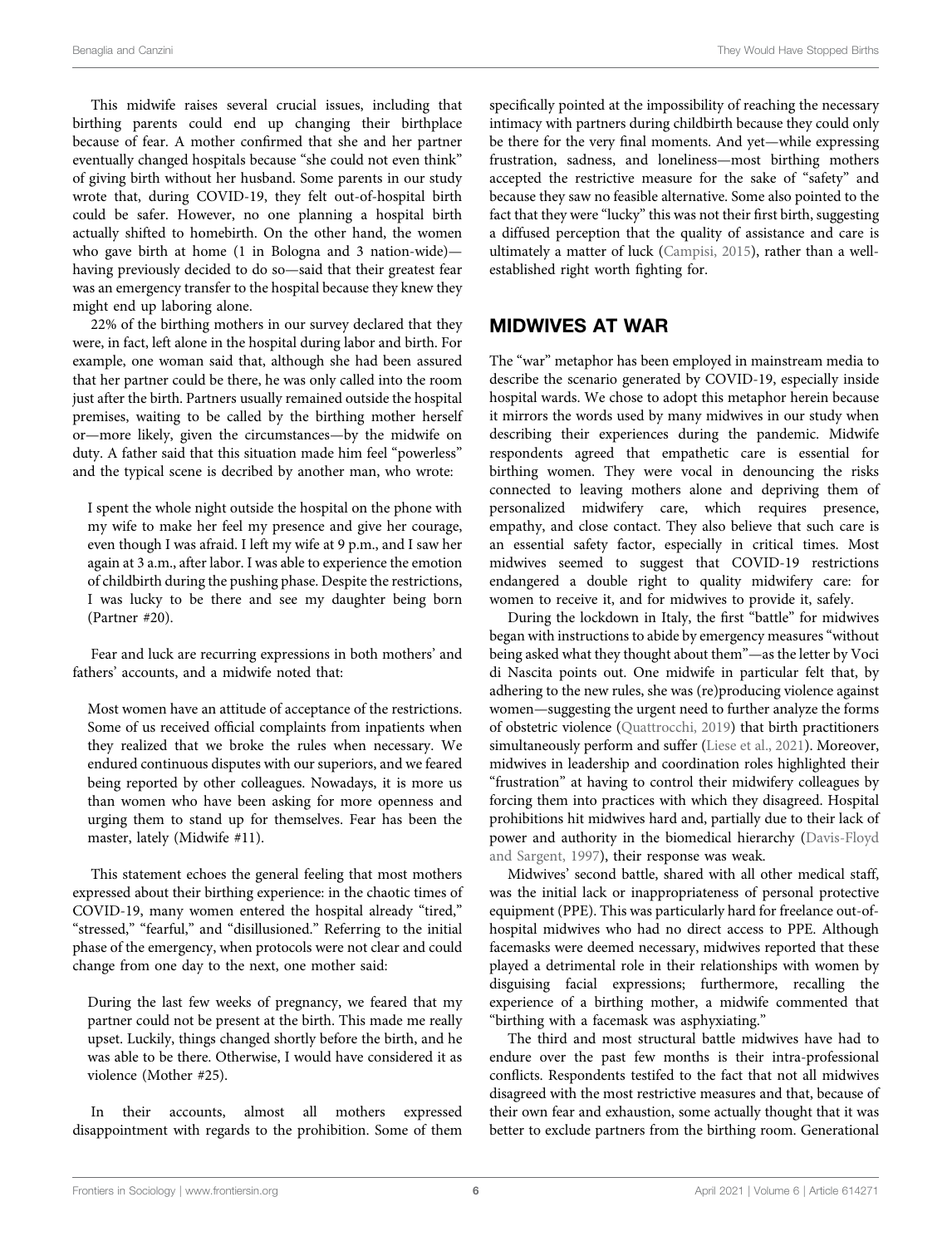This midwife raises several crucial issues, including that birthing parents could end up changing their birthplace because of fear. A mother confirmed that she and her partner eventually changed hospitals because "she could not even think" of giving birth without her husband. Some parents in our study wrote that, during COVID-19, they felt out-of-hospital birth could be safer. However, no one planning a hospital birth actually shifted to homebirth. On the other hand, the women who gave birth at home (1 in Bologna and 3 nation-wide) having previously decided to do so—said that their greatest fear was an emergency transfer to the hospital because they knew they might end up laboring alone.

22% of the birthing mothers in our survey declared that they were, in fact, left alone in the hospital during labor and birth. For example, one woman said that, although she had been assured that her partner could be there, he was only called into the room just after the birth. Partners usually remained outside the hospital premises, waiting to be called by the birthing mother herself or—more likely, given the circumstances—by the midwife on duty. A father said that this situation made him feel "powerless" and the typical scene is decribed by another man, who wrote:

I spent the whole night outside the hospital on the phone with my wife to make her feel my presence and give her courage, even though I was afraid. I left my wife at 9 p.m., and I saw her again at 3 a.m., after labor. I was able to experience the emotion of childbirth during the pushing phase. Despite the restrictions, I was lucky to be there and see my daughter being born (Partner #20).

Fear and luck are recurring expressions in both mothers' and fathers' accounts, and a midwife noted that:

Most women have an attitude of acceptance of the restrictions. Some of us received official complaints from inpatients when they realized that we broke the rules when necessary. We endured continuous disputes with our superiors, and we feared being reported by other colleagues. Nowadays, it is more us than women who have been asking for more openness and urging them to stand up for themselves. Fear has been the master, lately (Midwife #11).

This statement echoes the general feeling that most mothers expressed about their birthing experience: in the chaotic times of COVID-19, many women entered the hospital already "tired," "stressed," "fearful," and "disillusioned." Referring to the initial phase of the emergency, when protocols were not clear and could change from one day to the next, one mother said:

During the last few weeks of pregnancy, we feared that my partner could not be present at the birth. This made me really upset. Luckily, things changed shortly before the birth, and he was able to be there. Otherwise, I would have considered it as violence (Mother #25).

In their accounts, almost all mothers expressed disappointment with regards to the prohibition. Some of them specifically pointed at the impossibility of reaching the necessary intimacy with partners during childbirth because they could only be there for the very final moments. And yet—while expressing frustration, sadness, and loneliness—most birthing mothers accepted the restrictive measure for the sake of "safety" and because they saw no feasible alternative. Some also pointed to the fact that they were "lucky" this was not their first birth, suggesting a diffused perception that the quality of assistance and care is ultimately a matter of luck [\(Campisi, 2015\)](#page-7-17), rather than a wellestablished right worth fighting for.

### MIDWIVES AT WAR

The "war" metaphor has been employed in mainstream media to describe the scenario generated by COVID-19, especially inside hospital wards. We chose to adopt this metaphor herein because it mirrors the words used by many midwives in our study when describing their experiences during the pandemic. Midwife respondents agreed that empathetic care is essential for birthing women. They were vocal in denouncing the risks connected to leaving mothers alone and depriving them of personalized midwifery care, which requires presence, empathy, and close contact. They also believe that such care is an essential safety factor, especially in critical times. Most midwives seemed to suggest that COVID-19 restrictions endangered a double right to quality midwifery care: for women to receive it, and for midwives to provide it, safely.

During the lockdown in Italy, the first "battle" for midwives began with instructions to abide by emergency measures "without being asked what they thought about them"—as the letter by Voci di Nascita points out. One midwife in particular felt that, by adhering to the new rules, she was (re)producing violence against women—suggesting the urgent need to further analyze the forms of obstetric violence ([Quattrocchi, 2019\)](#page-8-11) that birth practitioners simultaneously perform and suffer ([Liese et al., 2021](#page-7-18)). Moreover, midwives in leadership and coordination roles highlighted their "frustration" at having to control their midwifery colleagues by forcing them into practices with which they disagreed. Hospital prohibitions hit midwives hard and, partially due to their lack of power and authority in the biomedical hierarchy [\(Davis-Floyd](#page-7-19) [and Sargent, 1997](#page-7-19)), their response was weak.

Midwives' second battle, shared with all other medical staff, was the initial lack or inappropriateness of personal protective equipment (PPE). This was particularly hard for freelance out-ofhospital midwives who had no direct access to PPE. Although facemasks were deemed necessary, midwives reported that these played a detrimental role in their relationships with women by disguising facial expressions; furthermore, recalling the experience of a birthing mother, a midwife commented that "birthing with a facemask was asphyxiating."

The third and most structural battle midwives have had to endure over the past few months is their intra-professional conflicts. Respondents testifed to the fact that not all midwives disagreed with the most restrictive measures and that, because of their own fear and exhaustion, some actually thought that it was better to exclude partners from the birthing room. Generational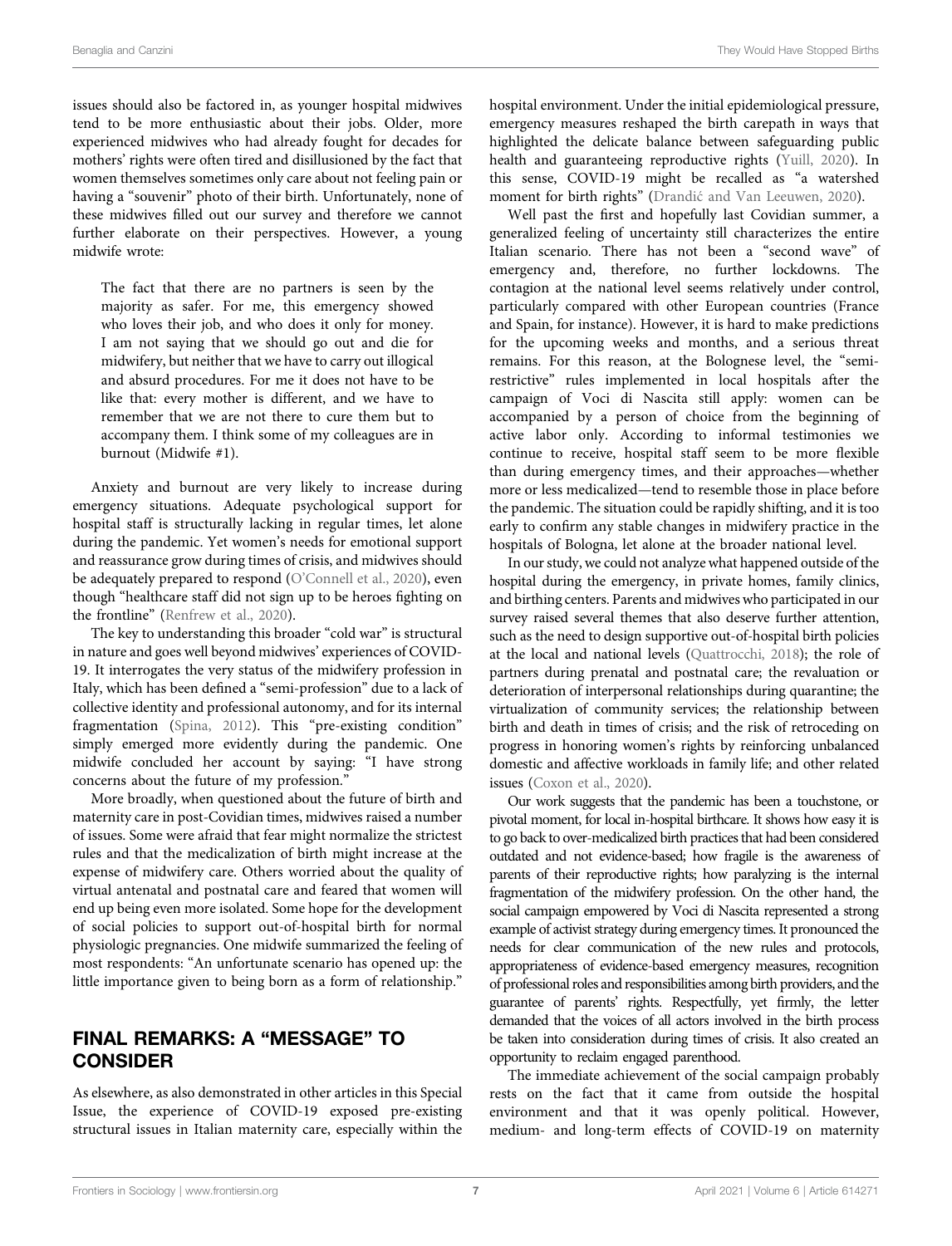issues should also be factored in, as younger hospital midwives tend to be more enthusiastic about their jobs. Older, more experienced midwives who had already fought for decades for mothers' rights were often tired and disillusioned by the fact that women themselves sometimes only care about not feeling pain or having a "souvenir" photo of their birth. Unfortunately, none of these midwives filled out our survey and therefore we cannot further elaborate on their perspectives. However, a young midwife wrote:

The fact that there are no partners is seen by the majority as safer. For me, this emergency showed who loves their job, and who does it only for money. I am not saying that we should go out and die for midwifery, but neither that we have to carry out illogical and absurd procedures. For me it does not have to be like that: every mother is different, and we have to remember that we are not there to cure them but to accompany them. I think some of my colleagues are in burnout (Midwife #1).

Anxiety and burnout are very likely to increase during emergency situations. Adequate psychological support for hospital staff is structurally lacking in regular times, let alone during the pandemic. Yet women's needs for emotional support and reassurance grow during times of crisis, and midwives should be adequately prepared to respond (O'[Connell et al., 2020\)](#page-8-12), even though "healthcare staff did not sign up to be heroes fighting on the frontline" [\(Renfrew et al., 2020\)](#page-8-10).

The key to understanding this broader "cold war" is structural in nature and goes well beyond midwives' experiences of COVID-19. It interrogates the very status of the midwifery profession in Italy, which has been defined a "semi-profession" due to a lack of collective identity and professional autonomy, and for its internal fragmentation [\(Spina, 2012](#page-8-13)). This "pre-existing condition" simply emerged more evidently during the pandemic. One midwife concluded her account by saying: "I have strong concerns about the future of my profession."

More broadly, when questioned about the future of birth and maternity care in post-Covidian times, midwives raised a number of issues. Some were afraid that fear might normalize the strictest rules and that the medicalization of birth might increase at the expense of midwifery care. Others worried about the quality of virtual antenatal and postnatal care and feared that women will end up being even more isolated. Some hope for the development of social policies to support out-of-hospital birth for normal physiologic pregnancies. One midwife summarized the feeling of most respondents: "An unfortunate scenario has opened up: the little importance given to being born as a form of relationship."

# FINAL REMARKS: A "MESSAGE" TO CONSIDER

As elsewhere, as also demonstrated in other articles in this Special Issue, the experience of COVID-19 exposed pre-existing structural issues in Italian maternity care, especially within the hospital environment. Under the initial epidemiological pressure, emergency measures reshaped the birth carepath in ways that highlighted the delicate balance between safeguarding public health and guaranteeing reproductive rights ([Yuill, 2020\)](#page-8-14). In this sense, COVID-19 might be recalled as "a watershed moment for birth rights" (Drandić and Van Leeuwen, 2020).

Well past the first and hopefully last Covidian summer, a generalized feeling of uncertainty still characterizes the entire Italian scenario. There has not been a "second wave" of emergency and, therefore, no further lockdowns. The contagion at the national level seems relatively under control, particularly compared with other European countries (France and Spain, for instance). However, it is hard to make predictions for the upcoming weeks and months, and a serious threat remains. For this reason, at the Bolognese level, the "semirestrictive" rules implemented in local hospitals after the campaign of Voci di Nascita still apply: women can be accompanied by a person of choice from the beginning of active labor only. According to informal testimonies we continue to receive, hospital staff seem to be more flexible than during emergency times, and their approaches—whether more or less medicalized—tend to resemble those in place before the pandemic. The situation could be rapidly shifting, and it is too early to confirm any stable changes in midwifery practice in the hospitals of Bologna, let alone at the broader national level.

In our study, we could not analyze what happened outside of the hospital during the emergency, in private homes, family clinics, and birthing centers. Parents and midwives who participated in our survey raised several themes that also deserve further attention, such as the need to design supportive out-of-hospital birth policies at the local and national levels [\(Quattrocchi, 2018\)](#page-8-15); the role of partners during prenatal and postnatal care; the revaluation or deterioration of interpersonal relationships during quarantine; the virtualization of community services; the relationship between birth and death in times of crisis; and the risk of retroceding on progress in honoring women's rights by reinforcing unbalanced domestic and affective workloads in family life; and other related issues ([Coxon et al., 2020](#page-7-21)).

Our work suggests that the pandemic has been a touchstone, or pivotal moment, for local in-hospital birthcare. It shows how easy it is to go back to over-medicalized birth practices that had been considered outdated and not evidence-based; how fragile is the awareness of parents of their reproductive rights; how paralyzing is the internal fragmentation of the midwifery profession. On the other hand, the social campaign empowered by Voci di Nascita represented a strong example of activist strategy during emergency times. It pronounced the needs for clear communication of the new rules and protocols, appropriateness of evidence-based emergency measures, recognition of professional roles and responsibilities among birth providers, and the guarantee of parents' rights. Respectfully, yet firmly, the letter demanded that the voices of all actors involved in the birth process be taken into consideration during times of crisis. It also created an opportunity to reclaim engaged parenthood.

The immediate achievement of the social campaign probably rests on the fact that it came from outside the hospital environment and that it was openly political. However, medium- and long-term effects of COVID-19 on maternity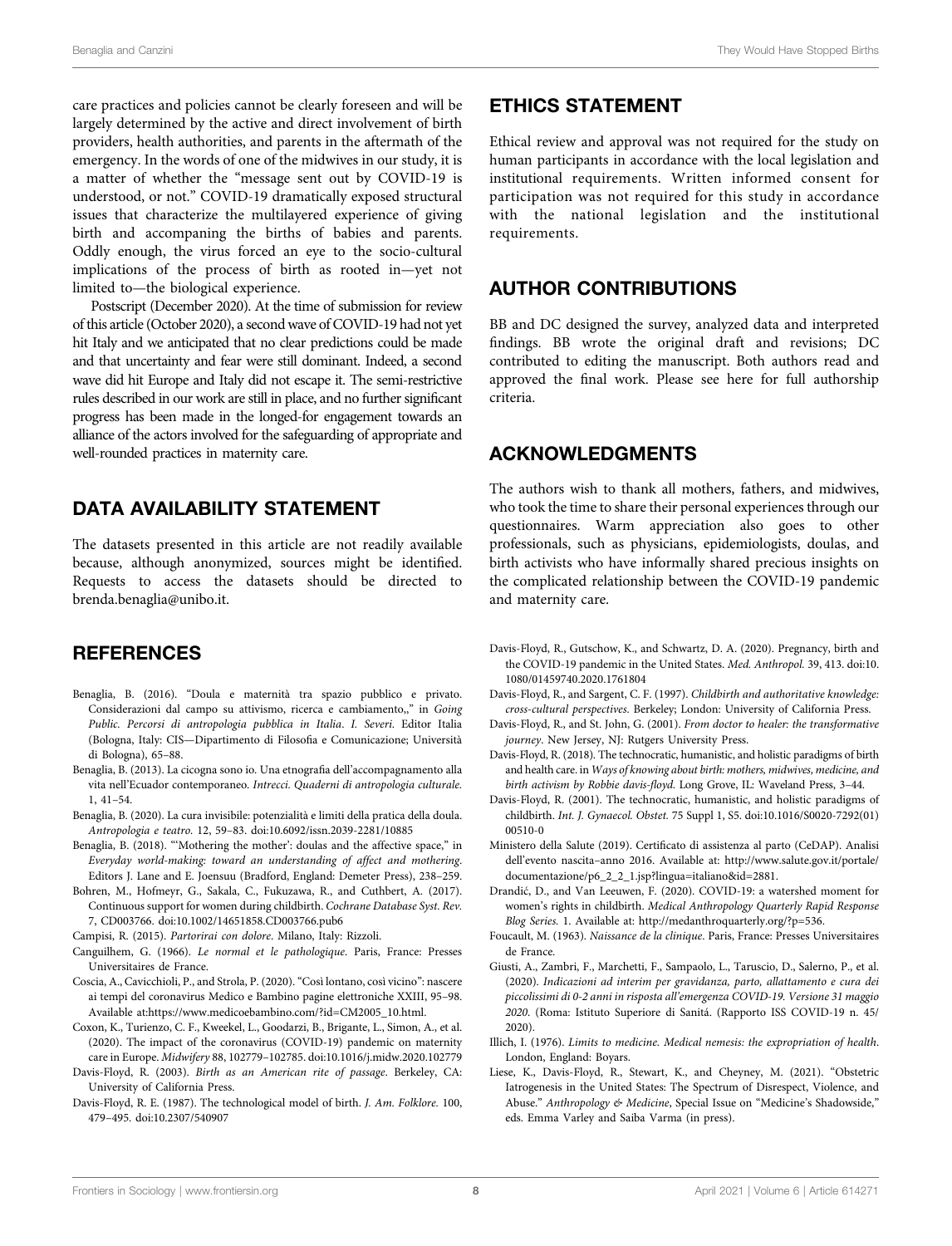care practices and policies cannot be clearly foreseen and will be largely determined by the active and direct involvement of birth providers, health authorities, and parents in the aftermath of the emergency. In the words of one of the midwives in our study, it is a matter of whether the "message sent out by COVID-19 is understood, or not." COVID-19 dramatically exposed structural issues that characterize the multilayered experience of giving birth and accompaning the births of babies and parents. Oddly enough, the virus forced an eye to the socio-cultural implications of the process of birth as rooted in—yet not limited to—the biological experience.

Postscript (December 2020). At the time of submission for review of this article (October 2020), a second wave of COVID-19 had not yet hit Italy and we anticipated that no clear predictions could be made and that uncertainty and fear were still dominant. Indeed, a second wave did hit Europe and Italy did not escape it. The semi-restrictive rules described in our work are still in place, and no further significant progress has been made in the longed-for engagement towards an alliance of the actors involved for the safeguarding of appropriate and well-rounded practices in maternity care.

### DATA AVAILABILITY STATEMENT

The datasets presented in this article are not readily available because, although anonymized, sources might be identified. Requests to access the datasets should be directed to [brenda.benaglia@unibo.it](mailto:brenda.benaglia@unibo.it).

### **REFERENCES**

- <span id="page-7-2"></span>Benaglia, B. (2016). "Doula e maternità tra spazio pubblico e privato. Considerazioni dal campo su attivismo, ricerca e cambiamento,," in Going Public. Percorsi di antropologia pubblica in Italia. I. Severi. Editor Italia (Bologna, Italy: CIS—Dipartimento di Filosofia e Comunicazione; Università di Bologna), 65–88.
- <span id="page-7-1"></span>Benaglia, B. (2013). La cicogna sono io. Una etnografia dell'accompagnamento alla vita nell'Ecuador contemporaneo. Intrecci. Quaderni di antropologia culturale. 1, 41–54.
- <span id="page-7-4"></span>Benaglia, B. (2020). La cura invisibile: potenzialità e limiti della pratica della doula. Antropologia e teatro. 12, 59–83. doi[:10.6092/issn.2039-2281/10885](https://doi.org/10.6092/issn.2039-2281/10885)
- <span id="page-7-3"></span>Benaglia, B. (2018). "'Mothering the mother': doulas and the affective space," in Everyday world-making: toward an understanding of affect and mothering. Editors J. Lane and E. Joensuu (Bradford, England: Demeter Press), 238–259.
- <span id="page-7-14"></span>Bohren, M., Hofmeyr, G., Sakala, C., Fukuzawa, R., and Cuthbert, A. (2017). Continuous support for women during childbirth. Cochrane Database Syst. Rev. 7, CD003766. doi[:10.1002/14651858.CD003766.pub6](https://doi.org/10.1002/14651858.CD003766.pub6)

<span id="page-7-17"></span>Campisi, R. (2015). Partorirai con dolore. Milano, Italy: Rizzoli.

- <span id="page-7-10"></span>Canguilhem, G. (1966). Le normal et le pathologique. Paris, France: Presses Universitaires de France.
- <span id="page-7-15"></span>Coscia, A., Cavicchioli, P., and Strola, P. (2020)."Così lontano, così vicino": nascere ai tempi del coronavirus Medico e Bambino pagine elettroniche XXIII, 95–98. Available at:[https://www.medicoebambino.com/?id](<http://https://www.medicoebambino.com/?id=CM2005_10.html>)=[CM2005\\_10.html](<http://https://www.medicoebambino.com/?id=CM2005_10.html>).
- <span id="page-7-21"></span>Coxon, K., Turienzo, C. F., Kweekel, L., Goodarzi, B., Brigante, L., Simon, A., et al. (2020). The impact of the coronavirus (COVID-19) pandemic on maternity care in Europe. Midwifery 88, 102779–102785. doi:[10.1016/j.midw.2020.102779](https://doi.org/10.1016/j.midw.2020.102779)
- <span id="page-7-13"></span>Davis-Floyd, R. (2003). Birth as an American rite of passage. Berkeley, CA: University of California Press.
- <span id="page-7-12"></span>Davis-Floyd, R. E. (1987). The technological model of birth. J. Am. Folklore. 100, 479–495. doi:[10.2307/540907](https://doi.org/10.2307/540907)

### ETHICS STATEMENT

Ethical review and approval was not required for the study on human participants in accordance with the local legislation and institutional requirements. Written informed consent for participation was not required for this study in accordance with the national legislation and the institutional requirements.

### AUTHOR CONTRIBUTIONS

BB and DC designed the survey, analyzed data and interpreted findings. BB wrote the original draft and revisions; DC contributed to editing the manuscript. Both authors read and approved the final work. Please see [here](http://home.frontiersin.org/about/author-guidelines) for full authorship criteria.

# ACKNOWLEDGMENTS

The authors wish to thank all mothers, fathers, and midwives, who took the time to share their personal experiences through our questionnaires. Warm appreciation also goes to other professionals, such as physicians, epidemiologists, doulas, and birth activists who have informally shared precious insights on the complicated relationship between the COVID-19 pandemic and maternity care.

- <span id="page-7-5"></span>Davis-Floyd, R., Gutschow, K., and Schwartz, D. A. (2020). Pregnancy, birth and the COVID-19 pandemic in the United States. Med. Anthropol. 39, 413. doi[:10.](https://doi.org/10.1080/01459740.2020.1761804) [1080/01459740.2020.1761804](https://doi.org/10.1080/01459740.2020.1761804)
- <span id="page-7-19"></span>Davis-Floyd, R., and Sargent, C. F. (1997). Childbirth and authoritative knowledge: cross-cultural perspectives. Berkeley; London: University of California Press.
- <span id="page-7-8"></span>Davis-Floyd, R., and St. John, G. (2001). From doctor to healer: the transformative journey. New Jersey, NJ: Rutgers University Press.
- <span id="page-7-7"></span>Davis-Floyd, R. (2018). The technocratic, humanistic, and holistic paradigms of birth and health care. in Ways of knowing about birth: mothers, midwives, medicine, and birth activism by Robbie davis-floyd. Long Grove, IL: Waveland Press, 3–44.
- <span id="page-7-6"></span>Davis-Floyd, R. (2001). The technocratic, humanistic, and holistic paradigms of childbirth. Int. J. Gynaecol. Obstet. 75 Suppl 1, S5. doi[:10.1016/S0020-7292\(01\)](https://doi.org/10.1016/S0020-7292(01)00510-0) [00510-0](https://doi.org/10.1016/S0020-7292(01)00510-0)
- <span id="page-7-0"></span>Ministero della Salute (2019). Certificato di assistenza al parto (CeDAP). Analisi dell'evento nascita–anno 2016. Available at: [http://www.salute.gov.it/portale/](<http://www.salute.gov.it/portale/documentazione/p6_2_2_1.jsp?lingua=italiano&id=2881>) [documentazione/p6\\_2\\_2\\_1.jsp?lingua](<http://www.salute.gov.it/portale/documentazione/p6_2_2_1.jsp?lingua=italiano&id=2881>)=[italiano&id](<http://www.salute.gov.it/portale/documentazione/p6_2_2_1.jsp?lingua=italiano&id=2881>)=[2881](<http://www.salute.gov.it/portale/documentazione/p6_2_2_1.jsp?lingua=italiano&id=2881>).
- <span id="page-7-20"></span>Drandic, D., and Van Leeuwen, F. (2020). COVID-19: a watershed moment for ´ women's rights in childbirth. Medical Anthropology Quarterly Rapid Response Blog Series. 1. Available at:<http://medanthroquarterly.org/?p=536>.
- <span id="page-7-9"></span>Foucault, M. (1963). Naissance de la clinique. Paris, France: Presses Universitaires de France.
- <span id="page-7-16"></span>Giusti, A., Zambri, F., Marchetti, F., Sampaolo, L., Taruscio, D., Salerno, P., et al. (2020). Indicazioni ad interim per gravidanza, parto, allattamento e cura dei piccolissimi di 0-2 anni in risposta all'emergenza COVID-19. Versione 31 maggio 2020. (Roma: Istituto Superiore di Sanitá. (Rapporto ISS COVID-19 n. 45/ 2020).
- <span id="page-7-11"></span>Illich, I. (1976). Limits to medicine. Medical nemesis: the expropriation of health. London, England: Boyars.
- <span id="page-7-18"></span>Liese, K., Davis-Floyd, R., Stewart, K., and Cheyney, M. (2021). "Obstetric Iatrogenesis in the United States: The Spectrum of Disrespect, Violence, and Abuse." Anthropology & Medicine, Special Issue on "Medicine's Shadowside," eds. Emma Varley and Saiba Varma (in press).